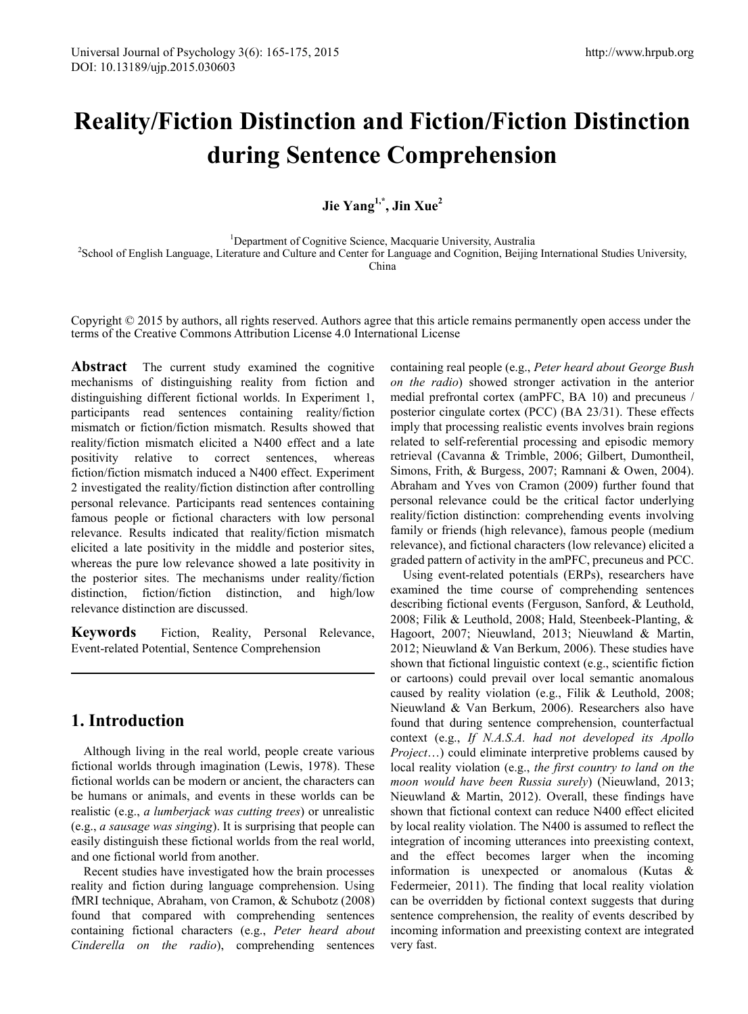# **Reality/Fiction Distinction and Fiction/Fiction Distinction during Sentence Comprehension**

**Jie Yang1,\*, Jin Xue2**

<sup>1</sup>Department of Cognitive Science, Macquarie University, Australia <sup>2</sup>School of English Language, Literature and Culture and Center for Language and Cognition, Beijing International Studies University, <sup>2</sup>School of English Language, Literature and Culture and Center for Language and Cogni China

Copyright  $\odot$  2015 by authors, all rights reserved. Authors agree that this article remains permanently open access under the terms of the Creative Commons Attribution License 4.0 International License

Abstract The current study examined the cognitive mechanisms of distinguishing reality from fiction and distinguishing different fictional worlds. In Experiment 1, participants read sentences containing reality/fiction mismatch or fiction/fiction mismatch. Results showed that reality/fiction mismatch elicited a N400 effect and a late positivity relative to correct sentences, whereas fiction/fiction mismatch induced a N400 effect. Experiment 2 investigated the reality/fiction distinction after controlling personal relevance. Participants read sentences containing famous people or fictional characters with low personal relevance. Results indicated that reality/fiction mismatch elicited a late positivity in the middle and posterior sites, whereas the pure low relevance showed a late positivity in the posterior sites. The mechanisms under reality/fiction distinction, fiction/fiction distinction, and high/low relevance distinction are discussed.

**Keywords** Fiction, Reality, Personal Relevance, Event-related Potential, Sentence Comprehension

# **1. Introduction**

Although living in the real world, people create various fictional worlds through imagination (Lewis, 1978). These fictional worlds can be modern or ancient, the characters can be humans or animals, and events in these worlds can be realistic (e.g., *a lumberjack was cutting trees*) or unrealistic (e.g., *a sausage was singing*). It is surprising that people can easily distinguish these fictional worlds from the real world, and one fictional world from another.

Recent studies have investigated how the brain processes reality and fiction during language comprehension. Using fMRI technique, Abraham, von Cramon, & Schubotz (2008) found that compared with comprehending sentences containing fictional characters (e.g., *Peter heard about Cinderella on the radio*), comprehending sentences

containing real people (e.g., *Peter heard about George Bush on the radio*) showed stronger activation in the anterior medial prefrontal cortex (amPFC, BA 10) and precuneus / posterior cingulate cortex (PCC) (BA 23/31). These effects imply that processing realistic events involves brain regions related to self-referential processing and episodic memory retrieval (Cavanna & Trimble, 2006; Gilbert, Dumontheil, Simons, Frith, & Burgess, 2007; Ramnani & Owen, 2004). Abraham and Yves von Cramon (2009) further found that personal relevance could be the critical factor underlying reality/fiction distinction: comprehending events involving family or friends (high relevance), famous people (medium relevance), and fictional characters (low relevance) elicited a graded pattern of activity in the amPFC, precuneus and PCC.

Using event-related potentials (ERPs), researchers have examined the time course of comprehending sentences describing fictional events (Ferguson, Sanford, & Leuthold, 2008; Filik & Leuthold, 2008; Hald, Steenbeek-Planting, & Hagoort, 2007; Nieuwland, 2013; Nieuwland & Martin, 2012; Nieuwland & Van Berkum, 2006). These studies have shown that fictional linguistic context (e.g., scientific fiction or cartoons) could prevail over local semantic anomalous caused by reality violation (e.g., Filik & Leuthold, 2008; Nieuwland & Van Berkum, 2006). Researchers also have found that during sentence comprehension, counterfactual context (e.g., *If N.A.S.A. had not developed its Apollo Project*…) could eliminate interpretive problems caused by local reality violation (e.g., *the first country to land on the moon would have been Russia surely*) (Nieuwland, 2013; Nieuwland & Martin, 2012). Overall, these findings have shown that fictional context can reduce N400 effect elicited by local reality violation. The N400 is assumed to reflect the integration of incoming utterances into preexisting context, and the effect becomes larger when the incoming information is unexpected or anomalous (Kutas & Federmeier, 2011). The finding that local reality violation can be overridden by fictional context suggests that during sentence comprehension, the reality of events described by incoming information and preexisting context are integrated very fast.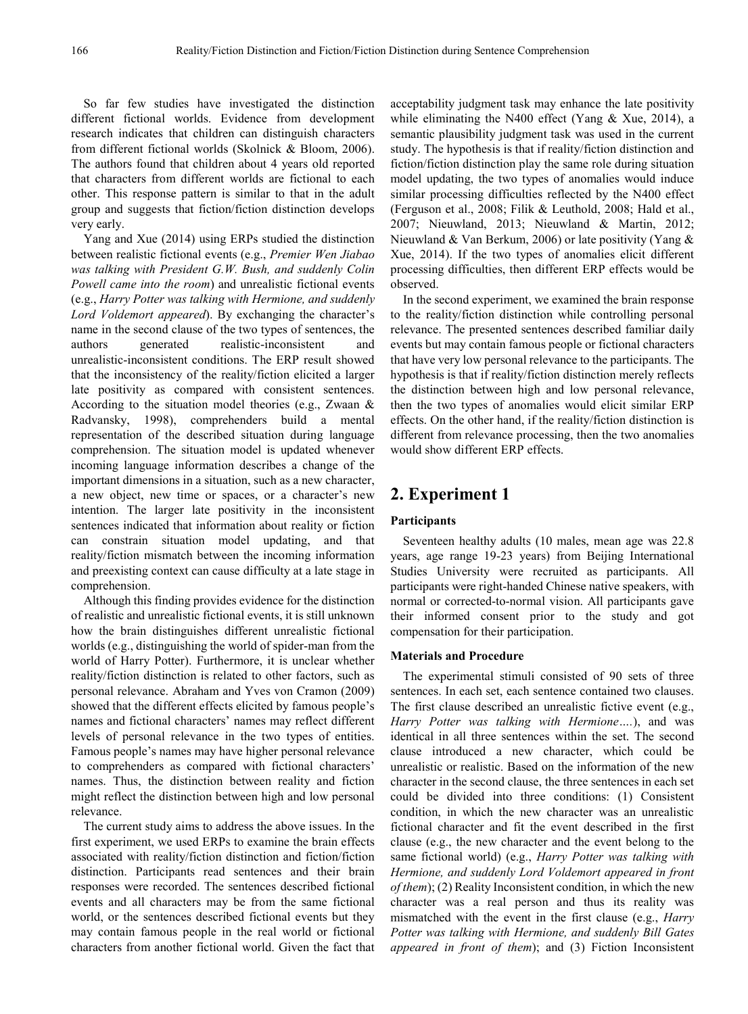So far few studies have investigated the distinction different fictional worlds. Evidence from development research indicates that children can distinguish characters from different fictional worlds (Skolnick & Bloom, 2006). The authors found that children about 4 years old reported that characters from different worlds are fictional to each other. This response pattern is similar to that in the adult group and suggests that fiction/fiction distinction develops very early.

Yang and Xue (2014) using ERPs studied the distinction between realistic fictional events (e.g., *Premier Wen Jiabao was talking with President G.W. Bush, and suddenly Colin Powell came into the room*) and unrealistic fictional events (e.g., *Harry Potter was talking with Hermione, and suddenly Lord Voldemort appeared*). By exchanging the character's name in the second clause of the two types of sentences, the authors generated realistic-inconsistent and unrealistic-inconsistent conditions. The ERP result showed that the inconsistency of the reality/fiction elicited a larger late positivity as compared with consistent sentences. According to the situation model theories (e.g., Zwaan & Radvansky, 1998), comprehenders build a mental representation of the described situation during language comprehension. The situation model is updated whenever incoming language information describes a change of the important dimensions in a situation, such as a new character, a new object, new time or spaces, or a character's new intention. The larger late positivity in the inconsistent sentences indicated that information about reality or fiction can constrain situation model updating, and that reality/fiction mismatch between the incoming information and preexisting context can cause difficulty at a late stage in comprehension.

Although this finding provides evidence for the distinction of realistic and unrealistic fictional events, it is still unknown how the brain distinguishes different unrealistic fictional worlds (e.g., distinguishing the world of spider-man from the world of Harry Potter). Furthermore, it is unclear whether reality/fiction distinction is related to other factors, such as personal relevance. Abraham and Yves von Cramon (2009) showed that the different effects elicited by famous people's names and fictional characters' names may reflect different levels of personal relevance in the two types of entities. Famous people's names may have higher personal relevance to comprehenders as compared with fictional characters' names. Thus, the distinction between reality and fiction might reflect the distinction between high and low personal relevance.

The current study aims to address the above issues. In the first experiment, we used ERPs to examine the brain effects associated with reality/fiction distinction and fiction/fiction distinction. Participants read sentences and their brain responses were recorded. The sentences described fictional events and all characters may be from the same fictional world, or the sentences described fictional events but they may contain famous people in the real world or fictional characters from another fictional world. Given the fact that

acceptability judgment task may enhance the late positivity while eliminating the N400 effect (Yang & Xue, 2014), a semantic plausibility judgment task was used in the current study. The hypothesis is that if reality/fiction distinction and fiction/fiction distinction play the same role during situation model updating, the two types of anomalies would induce similar processing difficulties reflected by the N400 effect (Ferguson et al., 2008; Filik & Leuthold, 2008; Hald et al., 2007; Nieuwland, 2013; Nieuwland & Martin, 2012; Nieuwland & Van Berkum, 2006) or late positivity (Yang & Xue, 2014). If the two types of anomalies elicit different processing difficulties, then different ERP effects would be observed.

In the second experiment, we examined the brain response to the reality/fiction distinction while controlling personal relevance. The presented sentences described familiar daily events but may contain famous people or fictional characters that have very low personal relevance to the participants. The hypothesis is that if reality/fiction distinction merely reflects the distinction between high and low personal relevance, then the two types of anomalies would elicit similar ERP effects. On the other hand, if the reality/fiction distinction is different from relevance processing, then the two anomalies would show different ERP effects.

# **2. Experiment 1**

#### **Participants**

Seventeen healthy adults (10 males, mean age was 22.8 years, age range 19-23 years) from Beijing International Studies University were recruited as participants. All participants were right-handed Chinese native speakers, with normal or corrected-to-normal vision. All participants gave their informed consent prior to the study and got compensation for their participation.

## **Materials and Procedure**

The experimental stimuli consisted of 90 sets of three sentences. In each set, each sentence contained two clauses. The first clause described an unrealistic fictive event (e.g., *Harry Potter was talking with Hermione….*), and was identical in all three sentences within the set. The second clause introduced a new character, which could be unrealistic or realistic. Based on the information of the new character in the second clause, the three sentences in each set could be divided into three conditions: (1) Consistent condition, in which the new character was an unrealistic fictional character and fit the event described in the first clause (e.g., the new character and the event belong to the same fictional world) (e.g., *Harry Potter was talking with Hermione, and suddenly Lord Voldemort appeared in front of them*); (2) Reality Inconsistent condition, in which the new character was a real person and thus its reality was mismatched with the event in the first clause (e.g., *Harry Potter was talking with Hermione, and suddenly Bill Gates appeared in front of them*); and (3) Fiction Inconsistent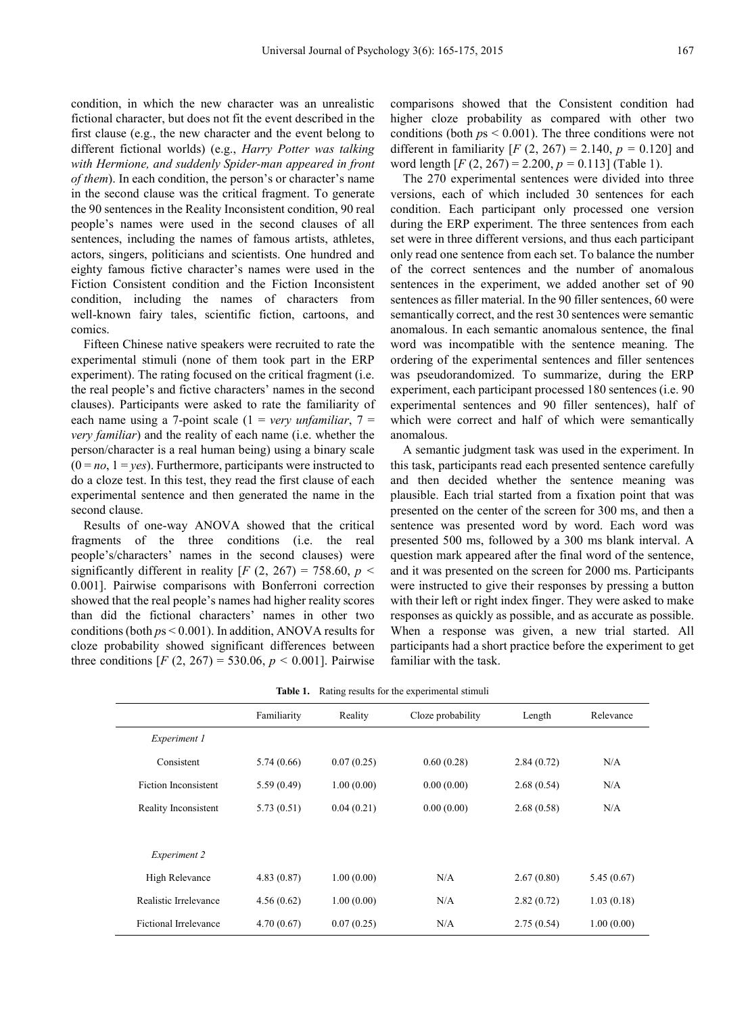condition, in which the new character was an unrealistic fictional character, but does not fit the event described in the first clause (e.g., the new character and the event belong to different fictional worlds) (e.g., *Harry Potter was talking with Hermione, and suddenly Spider-man appeared in front of them*). In each condition, the person's or character's name in the second clause was the critical fragment. To generate the 90 sentences in the Reality Inconsistent condition, 90 real people's names were used in the second clauses of all sentences, including the names of famous artists, athletes, actors, singers, politicians and scientists. One hundred and eighty famous fictive character's names were used in the Fiction Consistent condition and the Fiction Inconsistent condition, including the names of characters from well-known fairy tales, scientific fiction, cartoons, and comics.

Fifteen Chinese native speakers were recruited to rate the experimental stimuli (none of them took part in the ERP experiment). The rating focused on the critical fragment (i.e. the real people's and fictive characters' names in the second clauses). Participants were asked to rate the familiarity of each name using a 7-point scale  $(1 = \text{very unfamiliar}, 7 =$ *very familiar*) and the reality of each name (i.e. whether the person/character is a real human being) using a binary scale  $(0 = no, 1 = yes)$ . Furthermore, participants were instructed to do a cloze test. In this test, they read the first clause of each experimental sentence and then generated the name in the second clause.

Results of one-way ANOVA showed that the critical fragments of the three conditions (i.e. the real people's/characters' names in the second clauses) were significantly different in reality  $[F (2, 267) = 758.60, p <$ 0.001]. Pairwise comparisons with Bonferroni correction showed that the real people's names had higher reality scores than did the fictional characters' names in other two conditions (both *p*s < 0.001). In addition, ANOVA results for cloze probability showed significant differences between three conditions  $[F (2, 267) = 530.06, p < 0.001]$ . Pairwise

comparisons showed that the Consistent condition had higher cloze probability as compared with other two conditions (both *p*s < 0.001). The three conditions were not different in familiarity  $[F (2, 267) = 2.140, p = 0.120]$  and word length [*F* (2, 267) = 2.200, *p =* 0.113] (Table 1).

The 270 experimental sentences were divided into three versions, each of which included 30 sentences for each condition. Each participant only processed one version during the ERP experiment. The three sentences from each set were in three different versions, and thus each participant only read one sentence from each set. To balance the number of the correct sentences and the number of anomalous sentences in the experiment, we added another set of 90 sentences as filler material. In the 90 filler sentences, 60 were semantically correct, and the rest 30 sentences were semantic anomalous. In each semantic anomalous sentence, the final word was incompatible with the sentence meaning. The ordering of the experimental sentences and filler sentences was pseudorandomized. To summarize, during the ERP experiment, each participant processed 180 sentences (i.e. 90 experimental sentences and 90 filler sentences), half of which were correct and half of which were semantically anomalous.

A semantic judgment task was used in the experiment. In this task, participants read each presented sentence carefully and then decided whether the sentence meaning was plausible. Each trial started from a fixation point that was presented on the center of the screen for 300 ms, and then a sentence was presented word by word. Each word was presented 500 ms, followed by a 300 ms blank interval. A question mark appeared after the final word of the sentence, and it was presented on the screen for 2000 ms. Participants were instructed to give their responses by pressing a button with their left or right index finger. They were asked to make responses as quickly as possible, and as accurate as possible. When a response was given, a new trial started. All participants had a short practice before the experiment to get familiar with the task.

|                       | Familiarity | Reality    | Cloze probability | Length     | Relevance  |
|-----------------------|-------------|------------|-------------------|------------|------------|
| Experiment 1          |             |            |                   |            |            |
| Consistent            | 5.74(0.66)  | 0.07(0.25) | 0.60(0.28)        | 2.84(0.72) | N/A        |
| Fiction Inconsistent  | 5.59(0.49)  | 1.00(0.00) | 0.00(0.00)        | 2.68(0.54) | N/A        |
| Reality Inconsistent  | 5.73(0.51)  | 0.04(0.21) | 0.00(0.00)        | 2.68(0.58) | N/A        |
|                       |             |            |                   |            |            |
| Experiment 2          |             |            |                   |            |            |
| High Relevance        | 4.83(0.87)  | 1.00(0.00) | N/A               | 2.67(0.80) | 5.45(0.67) |
| Realistic Irrelevance | 4.56(0.62)  | 1.00(0.00) | N/A               | 2.82(0.72) | 1.03(0.18) |
| Fictional Irrelevance | 4.70(0.67)  | 0.07(0.25) | N/A               | 2.75(0.54) | 1.00(0.00) |

**Table 1.** Rating results for the experimental stimuli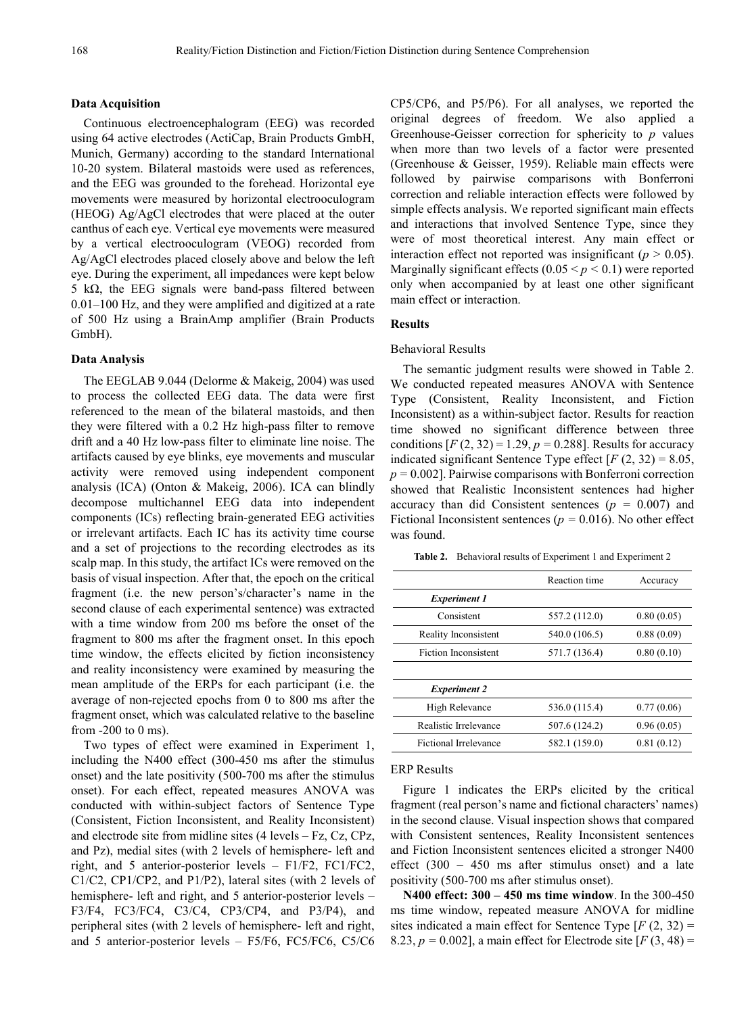#### **Data Acquisition**

Continuous electroencephalogram (EEG) was recorded using 64 active electrodes (ActiCap, Brain Products GmbH, Munich, Germany) according to the standard International 10-20 system. Bilateral mastoids were used as references, and the EEG was grounded to the forehead. Horizontal eye movements were measured by horizontal electrooculogram (HEOG) Ag/AgCl electrodes that were placed at the outer canthus of each eye. Vertical eye movements were measured by a vertical electrooculogram (VEOG) recorded from Ag/AgCl electrodes placed closely above and below the left eye. During the experiment, all impedances were kept below 5 kΩ, the EEG signals were band-pass filtered between 0.01–100 Hz, and they were amplified and digitized at a rate of 500 Hz using a BrainAmp amplifier (Brain Products GmbH).

#### **Data Analysis**

The EEGLAB 9.044 (Delorme & Makeig, 2004) was used to process the collected EEG data. The data were first referenced to the mean of the bilateral mastoids, and then they were filtered with a 0.2 Hz high-pass filter to remove drift and a 40 Hz low-pass filter to eliminate line noise. The artifacts caused by eye blinks, eye movements and muscular activity were removed using independent component analysis (ICA) (Onton & Makeig, 2006). ICA can blindly decompose multichannel EEG data into independent components (ICs) reflecting brain-generated EEG activities or irrelevant artifacts. Each IC has its activity time course and a set of projections to the recording electrodes as its scalp map. In this study, the artifact ICs were removed on the basis of visual inspection. After that, the epoch on the critical fragment (i.e. the new person's/character's name in the second clause of each experimental sentence) was extracted with a time window from 200 ms before the onset of the fragment to 800 ms after the fragment onset. In this epoch time window, the effects elicited by fiction inconsistency and reality inconsistency were examined by measuring the mean amplitude of the ERPs for each participant (i.e. the average of non-rejected epochs from 0 to 800 ms after the fragment onset, which was calculated relative to the baseline from -200 to 0 ms).

Two types of effect were examined in Experiment 1, including the N400 effect (300-450 ms after the stimulus onset) and the late positivity (500-700 ms after the stimulus onset). For each effect, repeated measures ANOVA was conducted with within-subject factors of Sentence Type (Consistent, Fiction Inconsistent, and Reality Inconsistent) and electrode site from midline sites (4 levels – Fz, Cz, CPz, and Pz), medial sites (with 2 levels of hemisphere- left and right, and 5 anterior-posterior levels – F1/F2, FC1/FC2, C1/C2, CP1/CP2, and P1/P2), lateral sites (with 2 levels of hemisphere- left and right, and 5 anterior-posterior levels – F3/F4, FC3/FC4, C3/C4, CP3/CP4, and P3/P4), and peripheral sites (with 2 levels of hemisphere- left and right, and 5 anterior-posterior levels – F5/F6, FC5/FC6, C5/C6

CP5/CP6, and P5/P6). For all analyses, we reported the original degrees of freedom. We also applied a Greenhouse-Geisser correction for sphericity to *p* values when more than two levels of a factor were presented (Greenhouse & Geisser, 1959). Reliable main effects were followed by pairwise comparisons with Bonferroni correction and reliable interaction effects were followed by simple effects analysis. We reported significant main effects and interactions that involved Sentence Type, since they were of most theoretical interest. Any main effect or interaction effect not reported was insignificant ( $p > 0.05$ ). Marginally significant effects  $(0.05 \le p \le 0.1)$  were reported only when accompanied by at least one other significant main effect or interaction.

#### **Results**

#### Behavioral Results

The semantic judgment results were showed in Table 2. We conducted repeated measures ANOVA with Sentence Type (Consistent, Reality Inconsistent, and Fiction Inconsistent) as a within-subject factor. Results for reaction time showed no significant difference between three conditions  $[F(2, 32) = 1.29, p = 0.288]$ . Results for accuracy indicated significant Sentence Type effect  $[F(2, 32) = 8.05]$ , *p =* 0.002]. Pairwise comparisons with Bonferroni correction showed that Realistic Inconsistent sentences had higher accuracy than did Consistent sentences (*p =* 0.007) and Fictional Inconsistent sentences (*p =* 0.016). No other effect was found.

**Table 2.** Behavioral results of Experiment 1 and Experiment 2

|                             | Reaction time | Accuracy   |
|-----------------------------|---------------|------------|
| <i>Experiment 1</i>         |               |            |
| Consistent                  | 557.2 (112.0) | 0.80(0.05) |
| Reality Inconsistent        | 540.0 (106.5) | 0.88(0.09) |
| <b>Fiction Inconsistent</b> | 571.7 (136.4) | 0.80(0.10) |
|                             |               |            |
| <b>Experiment 2</b>         |               |            |
| High Relevance              | 536.0 (115.4) | 0.77(0.06) |
| Realistic Irrelevance       | 507.6 (124.2) | 0.96(0.05) |
| Fictional Irrelevance       | 582.1 (159.0) | 0.81(0.12) |
|                             |               |            |

#### ERP Results

Figure 1 indicates the ERPs elicited by the critical fragment (real person's name and fictional characters' names) in the second clause. Visual inspection shows that compared with Consistent sentences, Reality Inconsistent sentences and Fiction Inconsistent sentences elicited a stronger N400 effect (300 – 450 ms after stimulus onset) and a late positivity (500-700 ms after stimulus onset).

**N400 effect: 300 – 450 ms time window**. In the 300-450 ms time window, repeated measure ANOVA for midline sites indicated a main effect for Sentence Type [*F* (2, 32) = 8.23, *p =* 0.002], a main effect for Electrode site [*F* (3, 48) =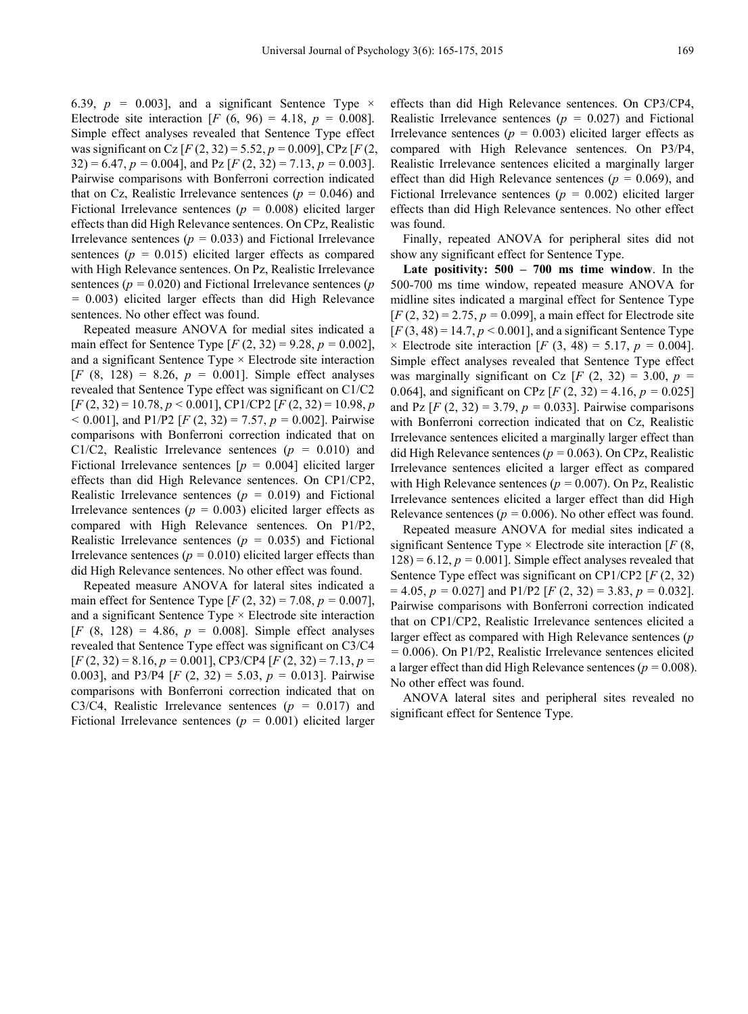6.39,  $p = 0.003$ ], and a significant Sentence Type  $\times$ Electrode site interaction [*F* (6, 96) = 4.18,  $p = 0.008$ ]. Simple effect analyses revealed that Sentence Type effect was significant on Cz [*F* (2, 32) = 5.52, *p =* 0.009], CPz [*F* (2, 32) = 6.47, *p =* 0.004], and Pz [*F* (2, 32) = 7.13, *p =* 0.003]. Pairwise comparisons with Bonferroni correction indicated that on Cz, Realistic Irrelevance sentences (*p =* 0.046) and Fictional Irrelevance sentences (*p =* 0.008) elicited larger effects than did High Relevance sentences. On CPz, Realistic Irrelevance sentences ( $p = 0.033$ ) and Fictional Irrelevance sentences (*p =* 0.015) elicited larger effects as compared with High Relevance sentences. On Pz, Realistic Irrelevance sentences (*p =* 0.020) and Fictional Irrelevance sentences (*p =* 0.003) elicited larger effects than did High Relevance sentences. No other effect was found.

Repeated measure ANOVA for medial sites indicated a main effect for Sentence Type [*F* (2, 32) = 9.28, *p =* 0.002], and a significant Sentence Type  $\times$  Electrode site interaction [*F* (8, 128) = 8.26, *p =* 0.001]. Simple effect analyses revealed that Sentence Type effect was significant on C1/C2 [*F* (2, 32) = 10.78, *p <* 0.001], CP1/CP2 [*F* (2, 32) = 10.98, *p <* 0.001], and P1/P2 [*F* (2, 32) = 7.57, *p =* 0.002]. Pairwise comparisons with Bonferroni correction indicated that on C1/C2, Realistic Irrelevance sentences (*p =* 0.010) and Fictional Irrelevance sentences [*p =* 0.004] elicited larger effects than did High Relevance sentences. On CP1/CP2, Realistic Irrelevance sentences (*p =* 0.019) and Fictional Irrelevance sentences  $(p = 0.003)$  elicited larger effects as compared with High Relevance sentences. On P1/P2, Realistic Irrelevance sentences (*p =* 0.035) and Fictional Irrelevance sentences ( $p = 0.010$ ) elicited larger effects than did High Relevance sentences. No other effect was found.

Repeated measure ANOVA for lateral sites indicated a main effect for Sentence Type [*F* (2, 32) = 7.08, *p =* 0.007], and a significant Sentence Type × Electrode site interaction  $[F (8, 128) = 4.86, p = 0.008]$ . Simple effect analyses revealed that Sentence Type effect was significant on C3/C4 [*F* (2, 32) = 8.16, *p =* 0.001], CP3/CP4 [*F* (2, 32) = 7.13, *p =* 0.003], and P3/P4 [*F* (2, 32) = 5.03, *p =* 0.013]. Pairwise comparisons with Bonferroni correction indicated that on C3/C4, Realistic Irrelevance sentences (*p =* 0.017) and Fictional Irrelevance sentences (*p =* 0.001) elicited larger

effects than did High Relevance sentences. On CP3/CP4, Realistic Irrelevance sentences (*p =* 0.027) and Fictional Irrelevance sentences  $(p = 0.003)$  elicited larger effects as compared with High Relevance sentences. On P3/P4, Realistic Irrelevance sentences elicited a marginally larger effect than did High Relevance sentences (*p =* 0.069), and Fictional Irrelevance sentences (*p =* 0.002) elicited larger effects than did High Relevance sentences. No other effect was found.

Finally, repeated ANOVA for peripheral sites did not show any significant effect for Sentence Type.

**Late positivity: 500 – 700 ms time window**. In the 500-700 ms time window, repeated measure ANOVA for midline sites indicated a marginal effect for Sentence Type [*F* (2, 32) = 2.75, *p =* 0.099], a main effect for Electrode site  $[F(3, 48) = 14.7, p < 0.001]$ , and a significant Sentence Type  $\times$  Electrode site interaction [*F* (3, 48) = 5.17, *p* = 0.004]. Simple effect analyses revealed that Sentence Type effect was marginally significant on Cz  $[F (2, 32) = 3.00, p =$ 0.064], and significant on CPz [*F* (2, 32) = 4.16, *p =* 0.025] and Pz  $[F (2, 32) = 3.79, p = 0.033]$ . Pairwise comparisons with Bonferroni correction indicated that on Cz, Realistic Irrelevance sentences elicited a marginally larger effect than did High Relevance sentences (*p =* 0.063). On CPz, Realistic Irrelevance sentences elicited a larger effect as compared with High Relevance sentences (*p =* 0.007). On Pz, Realistic Irrelevance sentences elicited a larger effect than did High Relevance sentences ( $p = 0.006$ ). No other effect was found.

Repeated measure ANOVA for medial sites indicated a significant Sentence Type × Electrode site interaction [*F* (8,  $128$ ) = 6.12,  $p = 0.001$ . Simple effect analyses revealed that Sentence Type effect was significant on CP1/CP2 [*F* (2, 32) = 4.05, *p =* 0.027] and P1/P2 [*F* (2, 32) = 3.83, *p =* 0.032]. Pairwise comparisons with Bonferroni correction indicated that on CP1/CP2, Realistic Irrelevance sentences elicited a larger effect as compared with High Relevance sentences (*p =* 0.006). On P1/P2, Realistic Irrelevance sentences elicited a larger effect than did High Relevance sentences ( $p = 0.008$ ). No other effect was found.

ANOVA lateral sites and peripheral sites revealed no significant effect for Sentence Type.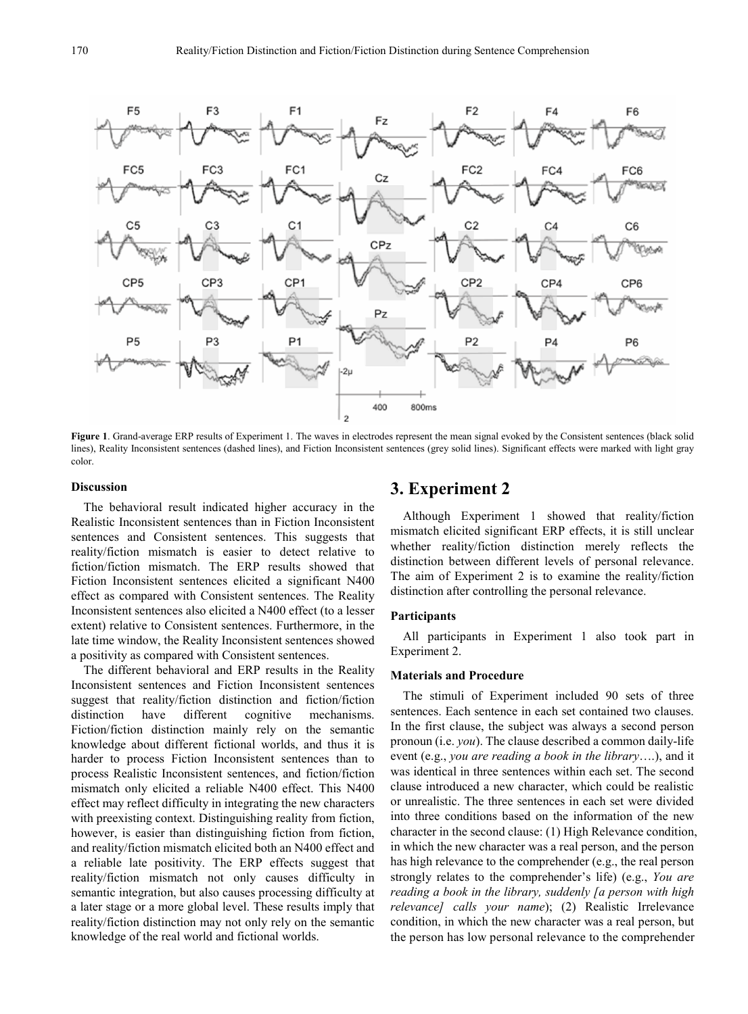

**Figure 1**. Grand-average ERP results of Experiment 1. The waves in electrodes represent the mean signal evoked by the Consistent sentences (black solid lines), Reality Inconsistent sentences (dashed lines), and Fiction Inconsistent sentences (grey solid lines). Significant effects were marked with light gray color.

#### **Discussion**

The behavioral result indicated higher accuracy in the Realistic Inconsistent sentences than in Fiction Inconsistent sentences and Consistent sentences. This suggests that reality/fiction mismatch is easier to detect relative to fiction/fiction mismatch. The ERP results showed that Fiction Inconsistent sentences elicited a significant N400 effect as compared with Consistent sentences. The Reality Inconsistent sentences also elicited a N400 effect (to a lesser extent) relative to Consistent sentences. Furthermore, in the late time window, the Reality Inconsistent sentences showed a positivity as compared with Consistent sentences.

The different behavioral and ERP results in the Reality Inconsistent sentences and Fiction Inconsistent sentences suggest that reality/fiction distinction and fiction/fiction distinction have different cognitive mechanisms. Fiction/fiction distinction mainly rely on the semantic knowledge about different fictional worlds, and thus it is harder to process Fiction Inconsistent sentences than to process Realistic Inconsistent sentences, and fiction/fiction mismatch only elicited a reliable N400 effect. This N400 effect may reflect difficulty in integrating the new characters with preexisting context. Distinguishing reality from fiction, however, is easier than distinguishing fiction from fiction, and reality/fiction mismatch elicited both an N400 effect and a reliable late positivity. The ERP effects suggest that reality/fiction mismatch not only causes difficulty in semantic integration, but also causes processing difficulty at a later stage or a more global level. These results imply that reality/fiction distinction may not only rely on the semantic knowledge of the real world and fictional worlds.

## **3. Experiment 2**

Although Experiment 1 showed that reality/fiction mismatch elicited significant ERP effects, it is still unclear whether reality/fiction distinction merely reflects the distinction between different levels of personal relevance. The aim of Experiment 2 is to examine the reality/fiction distinction after controlling the personal relevance.

#### **Participants**

All participants in Experiment 1 also took part in Experiment 2.

#### **Materials and Procedure**

The stimuli of Experiment included 90 sets of three sentences. Each sentence in each set contained two clauses. In the first clause, the subject was always a second person pronoun (i.e. *you*). The clause described a common daily-life event (e.g., *you are reading a book in the library*….), and it was identical in three sentences within each set. The second clause introduced a new character, which could be realistic or unrealistic. The three sentences in each set were divided into three conditions based on the information of the new character in the second clause: (1) High Relevance condition, in which the new character was a real person, and the person has high relevance to the comprehender (e.g., the real person strongly relates to the comprehender's life) (e.g., *You are reading a book in the library, suddenly [a person with high relevance] calls your name*); (2) Realistic Irrelevance condition, in which the new character was a real person, but the person has low personal relevance to the comprehender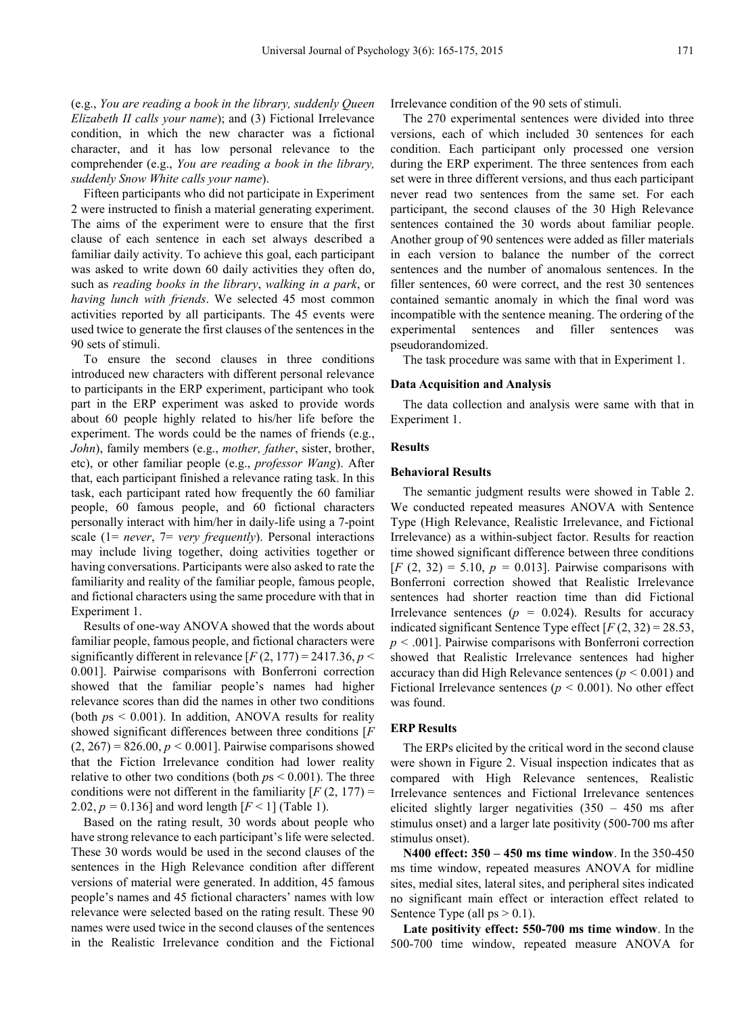(e.g., *You are reading a book in the library, suddenly Queen Elizabeth II calls your name*); and (3) Fictional Irrelevance condition, in which the new character was a fictional character, and it has low personal relevance to the comprehender (e.g., *You are reading a book in the library, suddenly Snow White calls your name*).

Fifteen participants who did not participate in Experiment 2 were instructed to finish a material generating experiment. The aims of the experiment were to ensure that the first clause of each sentence in each set always described a familiar daily activity. To achieve this goal, each participant was asked to write down 60 daily activities they often do, such as *reading books in the library*, *walking in a park*, or *having lunch with friends*. We selected 45 most common activities reported by all participants. The 45 events were used twice to generate the first clauses of the sentences in the 90 sets of stimuli.

To ensure the second clauses in three conditions introduced new characters with different personal relevance to participants in the ERP experiment, participant who took part in the ERP experiment was asked to provide words about 60 people highly related to his/her life before the experiment. The words could be the names of friends (e.g., *John*), family members (e.g., *mother, father*, sister, brother, etc), or other familiar people (e.g., *professor Wang*). After that, each participant finished a relevance rating task. In this task, each participant rated how frequently the 60 familiar people, 60 famous people, and 60 fictional characters personally interact with him/her in daily-life using a 7-point scale (1= *never*, 7= *very frequently*). Personal interactions may include living together, doing activities together or having conversations. Participants were also asked to rate the familiarity and reality of the familiar people, famous people, and fictional characters using the same procedure with that in Experiment 1.

Results of one-way ANOVA showed that the words about familiar people, famous people, and fictional characters were significantly different in relevance  $[F(2, 177) = 2417.36, p <$ 0.001]. Pairwise comparisons with Bonferroni correction showed that the familiar people's names had higher relevance scores than did the names in other two conditions (both *p*s < 0.001). In addition, ANOVA results for reality showed significant differences between three conditions [*F*   $(2, 267) = 826.00, p < 0.001$ . Pairwise comparisons showed that the Fiction Irrelevance condition had lower reality relative to other two conditions (both *p*s < 0.001). The three conditions were not different in the familiarity  $[F(2, 177) =$ 2.02,  $p = 0.136$ ] and word length  $[F < 1]$  (Table 1).

Based on the rating result, 30 words about people who have strong relevance to each participant's life were selected. These 30 words would be used in the second clauses of the sentences in the High Relevance condition after different versions of material were generated. In addition, 45 famous people's names and 45 fictional characters' names with low relevance were selected based on the rating result. These 90 names were used twice in the second clauses of the sentences in the Realistic Irrelevance condition and the Fictional

Irrelevance condition of the 90 sets of stimuli.

The 270 experimental sentences were divided into three versions, each of which included 30 sentences for each condition. Each participant only processed one version during the ERP experiment. The three sentences from each set were in three different versions, and thus each participant never read two sentences from the same set. For each participant, the second clauses of the 30 High Relevance sentences contained the 30 words about familiar people. Another group of 90 sentences were added as filler materials in each version to balance the number of the correct sentences and the number of anomalous sentences. In the filler sentences, 60 were correct, and the rest 30 sentences contained semantic anomaly in which the final word was incompatible with the sentence meaning. The ordering of the experimental sentences and filler sentences was pseudorandomized.

The task procedure was same with that in Experiment 1.

#### **Data Acquisition and Analysis**

The data collection and analysis were same with that in Experiment 1.

#### **Results**

#### **Behavioral Results**

The semantic judgment results were showed in Table 2. We conducted repeated measures ANOVA with Sentence Type (High Relevance, Realistic Irrelevance, and Fictional Irrelevance) as a within-subject factor. Results for reaction time showed significant difference between three conditions  $[F (2, 32) = 5.10, p = 0.013]$ . Pairwise comparisons with Bonferroni correction showed that Realistic Irrelevance sentences had shorter reaction time than did Fictional Irrelevance sentences ( $p = 0.024$ ). Results for accuracy indicated significant Sentence Type effect  $[F(2, 32) = 28.53]$ , *p <* .001]. Pairwise comparisons with Bonferroni correction showed that Realistic Irrelevance sentences had higher accuracy than did High Relevance sentences (*p <* 0.001) and Fictional Irrelevance sentences ( $p < 0.001$ ). No other effect was found.

#### **ERP Results**

The ERPs elicited by the critical word in the second clause were shown in Figure 2. Visual inspection indicates that as compared with High Relevance sentences, Realistic Irrelevance sentences and Fictional Irrelevance sentences elicited slightly larger negativities (350 – 450 ms after stimulus onset) and a larger late positivity (500-700 ms after stimulus onset).

**N400 effect: 350 – 450 ms time window**. In the 350-450 ms time window, repeated measures ANOVA for midline sites, medial sites, lateral sites, and peripheral sites indicated no significant main effect or interaction effect related to Sentence Type (all  $ps > 0.1$ ).

**Late positivity effect: 550-700 ms time window**. In the 500-700 time window, repeated measure ANOVA for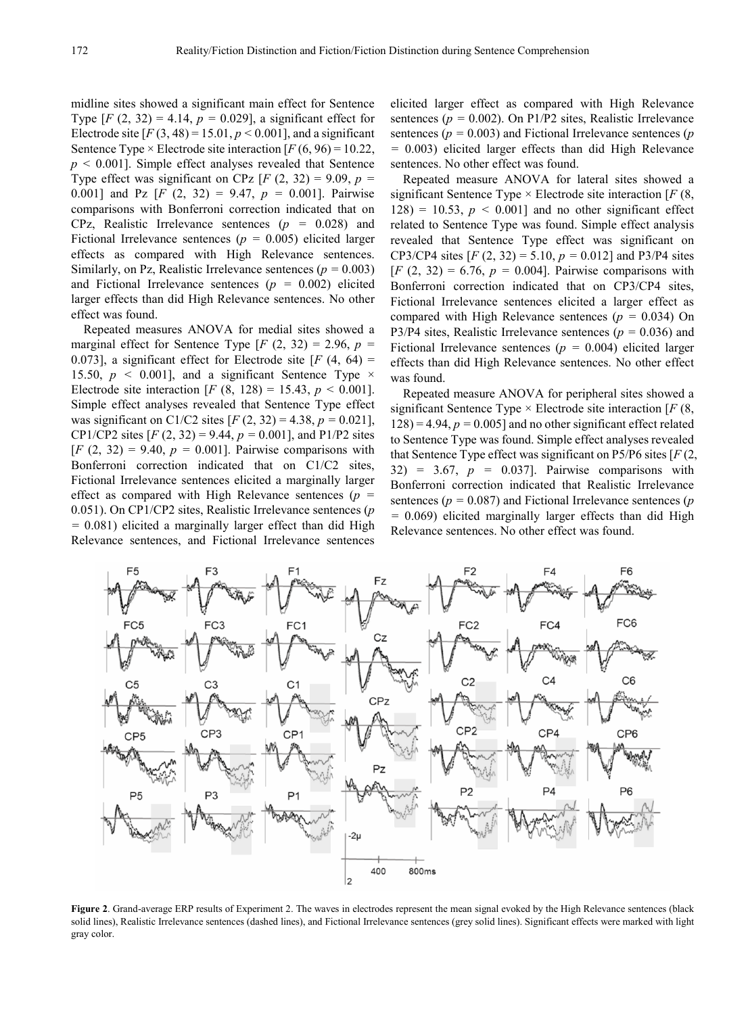midline sites showed a significant main effect for Sentence Type  $[F (2, 32) = 4.14, p = 0.029]$ , a significant effect for Electrode site  $[F(3, 48) = 15.01, p < 0.001]$ , and a significant Sentence Type  $\times$  Electrode site interaction [ $F$  (6, 96) = 10.22, *p <* 0.001]. Simple effect analyses revealed that Sentence Type effect was significant on CPz  $[F (2, 32) = 9.09, p =$ 0.001] and Pz [*F* (2, 32) = 9.47, *p =* 0.001]. Pairwise comparisons with Bonferroni correction indicated that on CPz, Realistic Irrelevance sentences (*p =* 0.028) and Fictional Irrelevance sentences (*p =* 0.005) elicited larger effects as compared with High Relevance sentences. Similarly, on Pz, Realistic Irrelevance sentences (*p =* 0.003) and Fictional Irrelevance sentences (*p =* 0.002) elicited larger effects than did High Relevance sentences. No other effect was found.

Repeated measures ANOVA for medial sites showed a marginal effect for Sentence Type  $[F (2, 32) = 2.96, p =$ 0.073], a significant effect for Electrode site  $[F(4, 64) =$ 15.50,  $p \le 0.001$ ], and a significant Sentence Type  $\times$ Electrode site interaction  $[F (8, 128) = 15.43, p < 0.001]$ . Simple effect analyses revealed that Sentence Type effect was significant on C1/C2 sites [*F* (2, 32) = 4.38, *p =* 0.021], CP1/CP2 sites [*F* (2, 32) = 9.44, *p =* 0.001], and P1/P2 sites  $[F (2, 32) = 9.40, p = 0.001]$ . Pairwise comparisons with Bonferroni correction indicated that on C1/C2 sites, Fictional Irrelevance sentences elicited a marginally larger effect as compared with High Relevance sentences (*p =* 0.051). On CP1/CP2 sites, Realistic Irrelevance sentences (*p =* 0.081) elicited a marginally larger effect than did High Relevance sentences, and Fictional Irrelevance sentences elicited larger effect as compared with High Relevance sentences (*p =* 0.002). On P1/P2 sites, Realistic Irrelevance sentences (*p =* 0.003) and Fictional Irrelevance sentences (*p =* 0.003) elicited larger effects than did High Relevance sentences. No other effect was found.

Repeated measure ANOVA for lateral sites showed a significant Sentence Type × Electrode site interaction [*F* (8,  $128$ ) = 10.53,  $p < 0.001$ ] and no other significant effect related to Sentence Type was found. Simple effect analysis revealed that Sentence Type effect was significant on CP3/CP4 sites [*F* (2, 32) = 5.10, *p =* 0.012] and P3/P4 sites  $[F (2, 32) = 6.76, p = 0.004]$ . Pairwise comparisons with Bonferroni correction indicated that on CP3/CP4 sites, Fictional Irrelevance sentences elicited a larger effect as compared with High Relevance sentences (*p =* 0.034) On P3/P4 sites, Realistic Irrelevance sentences (*p =* 0.036) and Fictional Irrelevance sentences (*p =* 0.004) elicited larger effects than did High Relevance sentences. No other effect was found.

Repeated measure ANOVA for peripheral sites showed a significant Sentence Type × Electrode site interaction [*F* (8,  $128$ ) = 4.94,  $p = 0.005$ ] and no other significant effect related to Sentence Type was found. Simple effect analyses revealed that Sentence Type effect was significant on P5/P6 sites [*F* (2, 32) = 3.67, *p =* 0.037]. Pairwise comparisons with Bonferroni correction indicated that Realistic Irrelevance sentences (*p =* 0.087) and Fictional Irrelevance sentences (*p =* 0.069) elicited marginally larger effects than did High Relevance sentences. No other effect was found.



**Figure 2**. Grand-average ERP results of Experiment 2. The waves in electrodes represent the mean signal evoked by the High Relevance sentences (black solid lines), Realistic Irrelevance sentences (dashed lines), and Fictional Irrelevance sentences (grey solid lines). Significant effects were marked with light gray color.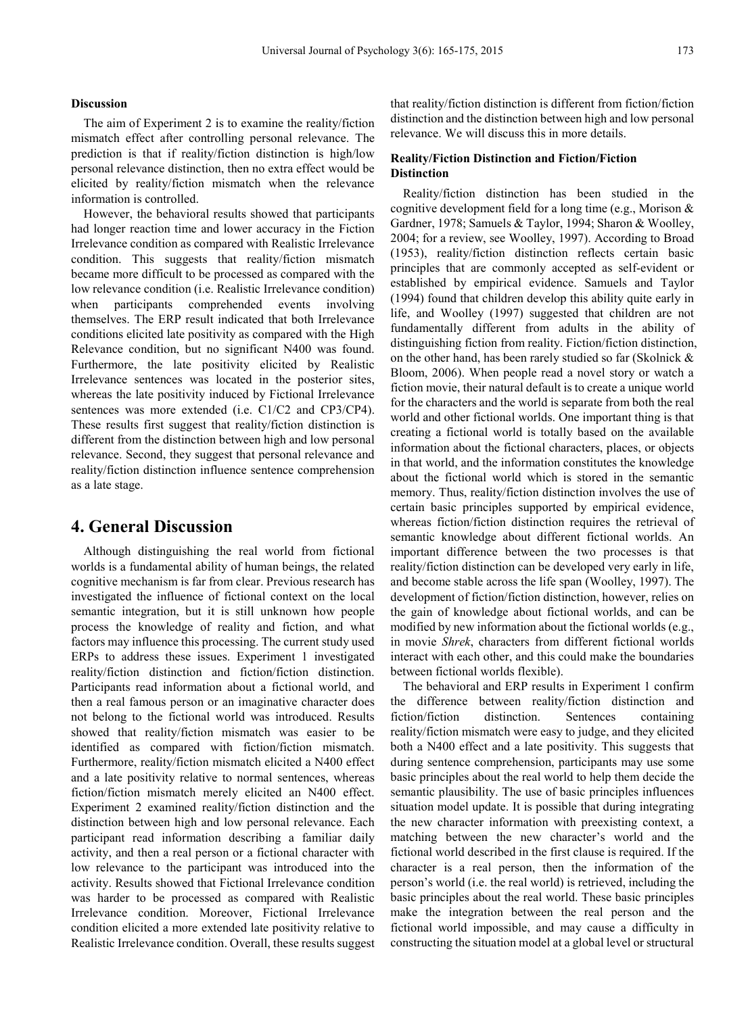#### **Discussion**

The aim of Experiment 2 is to examine the reality/fiction mismatch effect after controlling personal relevance. The prediction is that if reality/fiction distinction is high/low personal relevance distinction, then no extra effect would be elicited by reality/fiction mismatch when the relevance information is controlled.

However, the behavioral results showed that participants had longer reaction time and lower accuracy in the Fiction Irrelevance condition as compared with Realistic Irrelevance condition. This suggests that reality/fiction mismatch became more difficult to be processed as compared with the low relevance condition (i.e. Realistic Irrelevance condition) when participants comprehended events involving themselves. The ERP result indicated that both Irrelevance conditions elicited late positivity as compared with the High Relevance condition, but no significant N400 was found. Furthermore, the late positivity elicited by Realistic Irrelevance sentences was located in the posterior sites, whereas the late positivity induced by Fictional Irrelevance sentences was more extended (i.e. C1/C2 and CP3/CP4). These results first suggest that reality/fiction distinction is different from the distinction between high and low personal relevance. Second, they suggest that personal relevance and reality/fiction distinction influence sentence comprehension as a late stage.

## **4. General Discussion**

Although distinguishing the real world from fictional worlds is a fundamental ability of human beings, the related cognitive mechanism is far from clear. Previous research has investigated the influence of fictional context on the local semantic integration, but it is still unknown how people process the knowledge of reality and fiction, and what factors may influence this processing. The current study used ERPs to address these issues. Experiment 1 investigated reality/fiction distinction and fiction/fiction distinction. Participants read information about a fictional world, and then a real famous person or an imaginative character does not belong to the fictional world was introduced. Results showed that reality/fiction mismatch was easier to be identified as compared with fiction/fiction mismatch. Furthermore, reality/fiction mismatch elicited a N400 effect and a late positivity relative to normal sentences, whereas fiction/fiction mismatch merely elicited an N400 effect. Experiment 2 examined reality/fiction distinction and the distinction between high and low personal relevance. Each participant read information describing a familiar daily activity, and then a real person or a fictional character with low relevance to the participant was introduced into the activity. Results showed that Fictional Irrelevance condition was harder to be processed as compared with Realistic Irrelevance condition. Moreover, Fictional Irrelevance condition elicited a more extended late positivity relative to Realistic Irrelevance condition. Overall, these results suggest

that reality/fiction distinction is different from fiction/fiction distinction and the distinction between high and low personal relevance. We will discuss this in more details.

### **Reality/Fiction Distinction and Fiction/Fiction Distinction**

Reality/fiction distinction has been studied in the cognitive development field for a long time (e.g., Morison & Gardner, 1978; Samuels & Taylor, 1994; Sharon & Woolley, 2004; for a review, see Woolley, 1997). According to Broad (1953), reality/fiction distinction reflects certain basic principles that are commonly accepted as self-evident or established by empirical evidence. Samuels and Taylor (1994) found that children develop this ability quite early in life, and Woolley (1997) suggested that children are not fundamentally different from adults in the ability of distinguishing fiction from reality. Fiction/fiction distinction, on the other hand, has been rarely studied so far (Skolnick & Bloom, 2006). When people read a novel story or watch a fiction movie, their natural default is to create a unique world for the characters and the world is separate from both the real world and other fictional worlds. One important thing is that creating a fictional world is totally based on the available information about the fictional characters, places, or objects in that world, and the information constitutes the knowledge about the fictional world which is stored in the semantic memory. Thus, reality/fiction distinction involves the use of certain basic principles supported by empirical evidence, whereas fiction/fiction distinction requires the retrieval of semantic knowledge about different fictional worlds. An important difference between the two processes is that reality/fiction distinction can be developed very early in life, and become stable across the life span (Woolley, 1997). The development of fiction/fiction distinction, however, relies on the gain of knowledge about fictional worlds, and can be modified by new information about the fictional worlds (e.g., in movie *Shrek*, characters from different fictional worlds interact with each other, and this could make the boundaries between fictional worlds flexible).

The behavioral and ERP results in Experiment 1 confirm the difference between reality/fiction distinction and fiction/fiction distinction. Sentences containing reality/fiction mismatch were easy to judge, and they elicited both a N400 effect and a late positivity. This suggests that during sentence comprehension, participants may use some basic principles about the real world to help them decide the semantic plausibility. The use of basic principles influences situation model update. It is possible that during integrating the new character information with preexisting context, a matching between the new character's world and the fictional world described in the first clause is required. If the character is a real person, then the information of the person's world (i.e. the real world) is retrieved, including the basic principles about the real world. These basic principles make the integration between the real person and the fictional world impossible, and may cause a difficulty in constructing the situation model at a global level or structural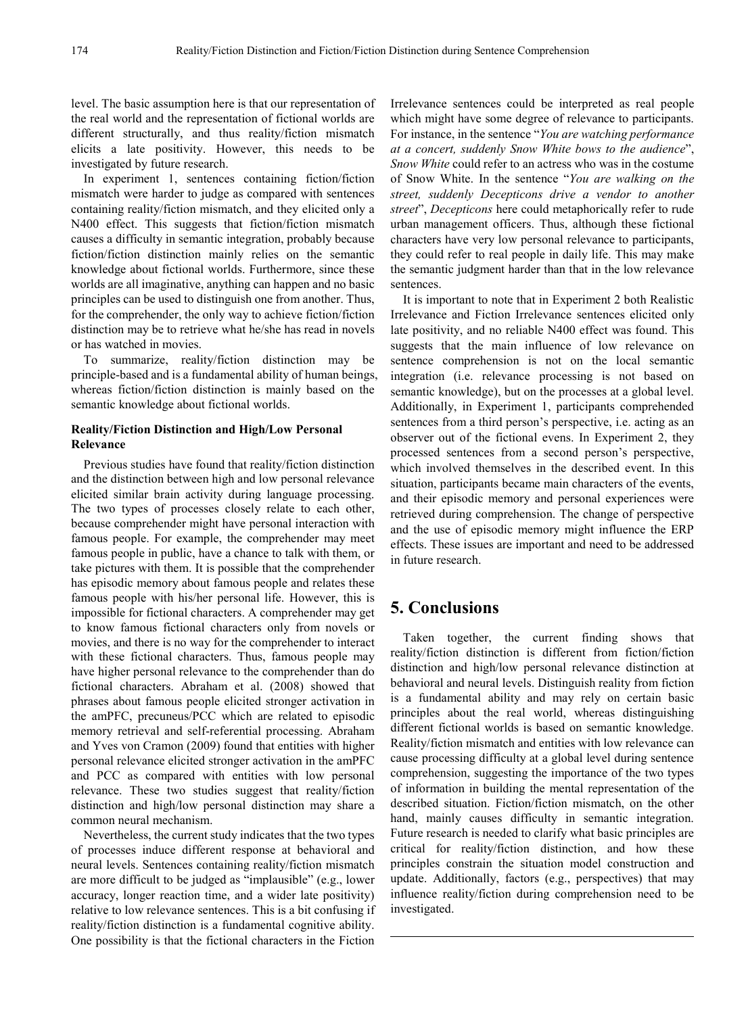level. The basic assumption here is that our representation of the real world and the representation of fictional worlds are different structurally, and thus reality/fiction mismatch elicits a late positivity. However, this needs to be investigated by future research.

In experiment 1, sentences containing fiction/fiction mismatch were harder to judge as compared with sentences containing reality/fiction mismatch, and they elicited only a N400 effect. This suggests that fiction/fiction mismatch causes a difficulty in semantic integration, probably because fiction/fiction distinction mainly relies on the semantic knowledge about fictional worlds. Furthermore, since these worlds are all imaginative, anything can happen and no basic principles can be used to distinguish one from another. Thus, for the comprehender, the only way to achieve fiction/fiction distinction may be to retrieve what he/she has read in novels or has watched in movies.

To summarize, reality/fiction distinction may be principle-based and is a fundamental ability of human beings, whereas fiction/fiction distinction is mainly based on the semantic knowledge about fictional worlds.

## **Reality/Fiction Distinction and High/Low Personal Relevance**

Previous studies have found that reality/fiction distinction and the distinction between high and low personal relevance elicited similar brain activity during language processing. The two types of processes closely relate to each other, because comprehender might have personal interaction with famous people. For example, the comprehender may meet famous people in public, have a chance to talk with them, or take pictures with them. It is possible that the comprehender has episodic memory about famous people and relates these famous people with his/her personal life. However, this is impossible for fictional characters. A comprehender may get to know famous fictional characters only from novels or movies, and there is no way for the comprehender to interact with these fictional characters. Thus, famous people may have higher personal relevance to the comprehender than do fictional characters. Abraham et al. (2008) showed that phrases about famous people elicited stronger activation in the amPFC, precuneus/PCC which are related to episodic memory retrieval and self-referential processing. Abraham and Yves von Cramon (2009) found that entities with higher personal relevance elicited stronger activation in the amPFC and PCC as compared with entities with low personal relevance. These two studies suggest that reality/fiction distinction and high/low personal distinction may share a common neural mechanism.

Nevertheless, the current study indicates that the two types of processes induce different response at behavioral and neural levels. Sentences containing reality/fiction mismatch are more difficult to be judged as "implausible" (e.g., lower accuracy, longer reaction time, and a wider late positivity) relative to low relevance sentences. This is a bit confusing if reality/fiction distinction is a fundamental cognitive ability. One possibility is that the fictional characters in the Fiction

Irrelevance sentences could be interpreted as real people which might have some degree of relevance to participants. For instance, in the sentence "*You are watching performance at a concert, suddenly Snow White bows to the audience*", *Snow White* could refer to an actress who was in the costume of Snow White. In the sentence "*You are walking on the street, suddenly Decepticons drive a vendor to another street*", *Decepticons* here could metaphorically refer to rude urban management officers. Thus, although these fictional characters have very low personal relevance to participants, they could refer to real people in daily life. This may make the semantic judgment harder than that in the low relevance sentences.

It is important to note that in Experiment 2 both Realistic Irrelevance and Fiction Irrelevance sentences elicited only late positivity, and no reliable N400 effect was found. This suggests that the main influence of low relevance on sentence comprehension is not on the local semantic integration (i.e. relevance processing is not based on semantic knowledge), but on the processes at a global level. Additionally, in Experiment 1, participants comprehended sentences from a third person's perspective, i.e. acting as an observer out of the fictional evens. In Experiment 2, they processed sentences from a second person's perspective, which involved themselves in the described event. In this situation, participants became main characters of the events, and their episodic memory and personal experiences were retrieved during comprehension. The change of perspective and the use of episodic memory might influence the ERP effects. These issues are important and need to be addressed in future research.

# **5. Conclusions**

Taken together, the current finding shows that reality/fiction distinction is different from fiction/fiction distinction and high/low personal relevance distinction at behavioral and neural levels. Distinguish reality from fiction is a fundamental ability and may rely on certain basic principles about the real world, whereas distinguishing different fictional worlds is based on semantic knowledge. Reality/fiction mismatch and entities with low relevance can cause processing difficulty at a global level during sentence comprehension, suggesting the importance of the two types of information in building the mental representation of the described situation. Fiction/fiction mismatch, on the other hand, mainly causes difficulty in semantic integration. Future research is needed to clarify what basic principles are critical for reality/fiction distinction, and how these principles constrain the situation model construction and update. Additionally, factors (e.g., perspectives) that may influence reality/fiction during comprehension need to be investigated.